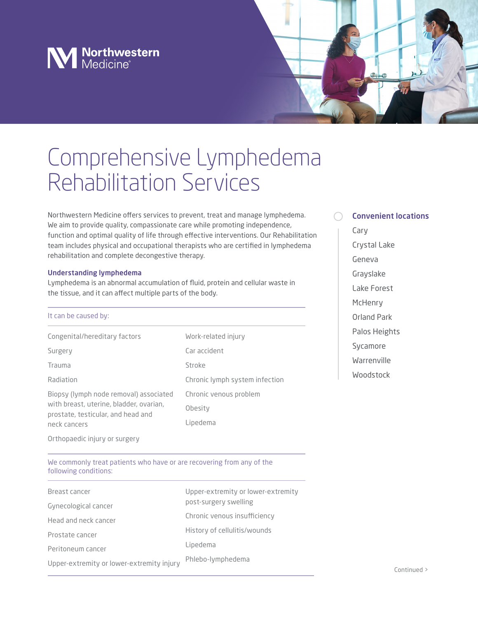# **N** Northwestern

## Comprehensive Lymphedema Rehabilitation Services

Northwestern Medicine offers services to prevent, treat and manage lymphedema. We aim to provide quality, compassionate care while promoting independence, function and optimal quality of life through effective interventions. Our Rehabilitation team includes physical and occupational therapists who are certified in lymphedema rehabilitation and complete decongestive therapy.

## Understanding lymphedema

Lymphedema is an abnormal accumulation of fluid, protein and cellular waste in the tissue, and it can affect multiple parts of the body.

#### It can be caused by:

| Congenital/hereditary factors                                                                                                           | Work-related injury            |
|-----------------------------------------------------------------------------------------------------------------------------------------|--------------------------------|
| Surgery                                                                                                                                 | Car accident                   |
| Trauma                                                                                                                                  | Stroke                         |
| Radiation                                                                                                                               | Chronic lymph system infection |
| Biopsy (lymph node removal) associated<br>with breast, uterine, bladder, ovarian,<br>prostate, testicular, and head and<br>neck cancers | Chronic venous problem         |
|                                                                                                                                         | Obesity                        |
|                                                                                                                                         | Lipedema                       |
|                                                                                                                                         |                                |

## Convenient locations

Cary Crystal Lake Geneva Grayslake Lake Forest **McHenry** Orland Park Palos Heights Sycamore Warrenville Woodstock

Orthopaedic injury or surgery

We commonly treat patients who have or are recovering from any of the following conditions:

| Breast cancer                             | Upper-extremity or lower-extremity |
|-------------------------------------------|------------------------------------|
| Gynecological cancer                      | post-surgery swelling              |
| Head and neck cancer                      | Chronic venous insufficiency       |
| Prostate cancer                           | History of cellulitis/wounds       |
| Peritoneum cancer                         | Lipedema                           |
| Upper-extremity or lower-extremity injury | Phlebo-lymphedema                  |